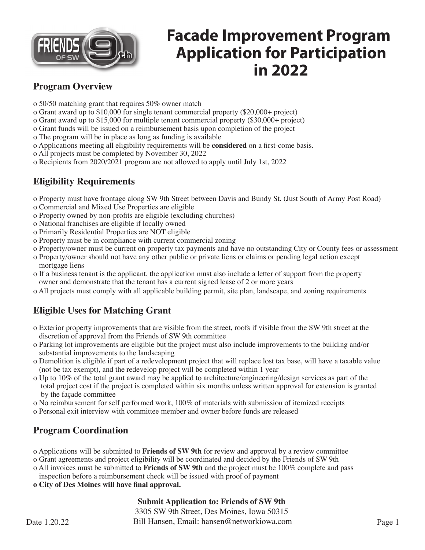

#### **Program Overview**

- o 50/50 matching grant that requires 50% owner match
- o Grant award up to \$10,000 for single tenant commercial property (\$20,000+ project)
- o Grant award up to \$15,000 for multiple tenant commercial property (\$30,000+ project)
- o Grant funds will be issued on a reimbursement basis upon completion of the project
- o The program will be in place as long as funding is available
- o Applications meeting all eligibility requirements will be **considered** on a first-come basis.
- o All projects must be completed by November 30, 2022
- o Recipients from 2020/2021 program are not allowed to apply until July 1st, 2022

### **Eligibility Requirements**

- o Property must have frontage along SW 9th Street between Davis and Bundy St. (Just South of Army Post Road)
- o Commercial and Mixed Use Properties are eligible
- o Property owned by non-profits are eligible (excluding churches)
- o National franchises are eligible if locally owned
- o Primarily Residential Properties are NOT eligible
- o Property must be in compliance with current commercial zoning
- o Property/owner must be current on property tax payments and have no outstanding City or County fees or assessment
- o Property/owner should not have any other public or private liens or claims or pending legal action except mortgage liens
- o If a business tenant is the applicant, the application must also include a letter of support from the property owner and demonstrate that the tenant has a current signed lease of 2 or more years
- o All projects must comply with all applicable building permit, site plan, landscape, and zoning requirements

### **Eligible Uses for Matching Grant**

- o Exterior property improvements that are visible from the street, roofs if visible from the SW 9th street at the discretion of approval from the Friends of SW 9th committee
- o Parking lot improvements are eligible but the project must also include improvements to the building and/or substantial improvements to the landscaping
- o Demolition is eligible if part of a redevelopment project that will replace lost tax base, will have a taxable value (not be tax exempt), and the redevelop project will be completed within 1 year
- o Up to 10% of the total grant award may be applied to architecture/engineering/design services as part of the total project cost if the project is completed within six months unless written approval for extension is granted by the façade committee
- o No reimbursement for self performed work, 100% of materials with submission of itemized receipts
- o Personal exit interview with committee member and owner before funds are released

## **Program Coordination**

- o Applications will be submitted to **Friends of SW 9th** for review and approval by a review committee
- o Grant agreements and project eligibility will be coordinated and decided by the Friends of SW 9th
- o All invoices must be submitted to **Friends of SW 9th** and the project must be 100% complete and pass
- inspection before a reimbursement check will be issued with proof of payment
- **o City of Des Moines will have final approval.**

#### **Submit Application to: Friends of SW 9th**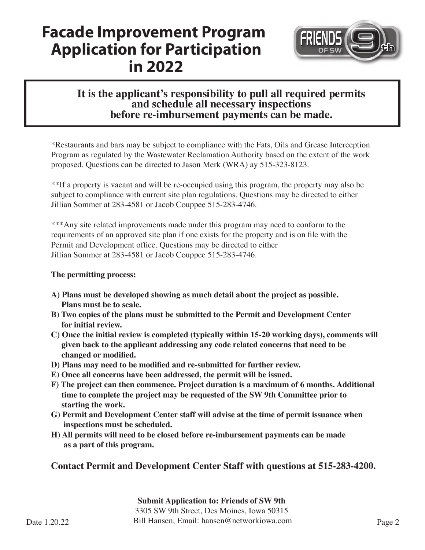

### **It is the applicant's responsibility to pull all required permits and schedule all necessary inspections before re-imbursement payments can be made.**

\*Restaurants and bars may be subject to compliance with the Fats, Oils and Grease Interception Program as regulated by the Wastewater Reclamation Authority based on the extent of the work proposed. Questions can be directed to Jason Merk (WRA) ay 515-323-8123.

\*\*If a property is vacant and will be re-occupied using this program, the property may also be subject to compliance with current site plan regulations. Questions may be directed to either Jillian Sommer at 283-4581 or Jacob Couppee 515-283-4746.

\*\*\*Any site related improvements made under this program may need to conform to the requirements of an approved site plan if one exists for the property and is on file with the Permit and Development office. Questions may be directed to either Jillian Sommer at 283-4581 or Jacob Couppee 515-283-4746.

#### **The permitting process:**

- **A) Plans must be developed showing as much detail about the project as possible. Plans must be to scale.**
- **B) Two copies of the plans must be submitted to the Permit and Development Center for initial review.**
- **C) Once the initial review is completed (typically within 15-20 working days), comments will given back to the applicant addressing any code related concerns that need to be changed or modified.**
- **D) Plans may need to be modified and re-submitted for further review.**
- **E) Once all concerns have been addressed, the permit will be issued.**
- **F) The project can then commence. Project duration is a maximum of 6 months. Additional time to complete the project may be requested of the SW 9th Committee prior to starting the work.**
- **G) Permit and Development Center staff will advise at the time of permit issuance when inspections must be scheduled.**
- **H) All permits will need to be closed before re-imbursement payments can be made as a part of this program.**

**Contact Permit and Development Center Staff with questions at 515-283-4200.**

**Submit Application to: Friends of SW 9th** 3305 SW 9th Street, Des Moines, Iowa 50315 Date 1.20.22 **Bill Hansen**, Email: hansen@networkiowa.com Page 2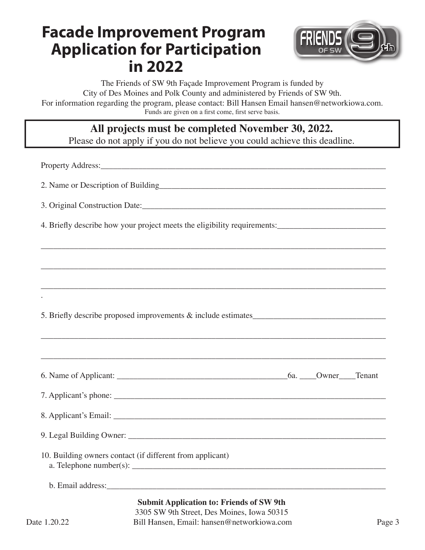

The Friends of SW 9th Façade Improvement Program is funded by City of Des Moines and Polk County and administered by Friends of SW 9th. For information regarding the program, please contact: Bill Hansen Email hansen@networkiowa.com. Funds are given on a first come, first serve basis.

### **All projects must be completed November 30, 2022.**

Please do not apply if you do not believe you could achieve this deadline.

\_\_\_\_\_\_\_\_\_\_\_\_\_\_\_\_\_\_\_\_\_\_\_\_\_\_\_\_\_\_\_\_\_\_\_\_\_\_\_\_\_\_\_\_\_\_\_\_\_\_\_\_\_\_\_\_\_\_\_\_\_\_\_\_\_\_\_\_\_\_\_\_\_\_\_\_\_\_\_\_\_\_\_\_\_\_\_\_\_\_

\_\_\_\_\_\_\_\_\_\_\_\_\_\_\_\_\_\_\_\_\_\_\_\_\_\_\_\_\_\_\_\_\_\_\_\_\_\_\_\_\_\_\_\_\_\_\_\_\_\_\_\_\_\_\_\_\_\_\_\_\_\_\_\_\_\_\_\_\_\_\_\_\_\_\_\_\_\_\_\_\_\_\_\_\_\_\_\_\_

Property Address:\_\_\_\_\_\_\_\_\_\_\_\_\_\_\_\_\_\_\_\_\_\_\_\_\_\_\_\_\_\_\_\_\_\_\_\_\_\_\_\_\_\_\_\_\_\_\_\_\_\_\_\_\_\_\_\_\_\_\_\_\_\_\_\_\_\_\_\_\_

2. Name or Description of Building\_\_\_\_\_\_\_\_\_\_\_\_\_\_\_\_\_\_\_\_\_\_\_\_\_\_\_\_\_\_\_\_\_\_\_\_\_\_\_\_\_\_\_\_\_\_\_\_\_\_\_\_\_\_\_\_

3. Original Construction Date:

4. Briefly describe how your project meets the eligibility requirements:\_\_\_\_\_\_\_\_\_\_\_\_\_\_\_\_\_\_\_\_\_\_\_\_\_\_\_\_\_\_\_\_\_

| ,我们也不能在这里的时候,我们也不能在这里的时候,我们也不能会在这里的时候,我们也不能会在这里的时候,我们也不能会在这里的时候,我们也不能会在这里的时候,我们也不                                                                                                                                                                                                                                                                |  |  |
|--------------------------------------------------------------------------------------------------------------------------------------------------------------------------------------------------------------------------------------------------------------------------------------------------------------------------------------------------|--|--|
|                                                                                                                                                                                                                                                                                                                                                  |  |  |
|                                                                                                                                                                                                                                                                                                                                                  |  |  |
| ,我们也不能会在这里,我们的人们就会在这里,我们也不能会在这里,我们也不能会在这里,我们也不能会在这里,我们也不能会在这里,我们也不能会不能会不能会。""我们,我                                                                                                                                                                                                                                                                |  |  |
|                                                                                                                                                                                                                                                                                                                                                  |  |  |
|                                                                                                                                                                                                                                                                                                                                                  |  |  |
|                                                                                                                                                                                                                                                                                                                                                  |  |  |
|                                                                                                                                                                                                                                                                                                                                                  |  |  |
| 10. Building owners contact (if different from applicant)<br>a. Telephone number(s): $\frac{1}{2}$ and $\frac{1}{2}$ and $\frac{1}{2}$ and $\frac{1}{2}$ and $\frac{1}{2}$ and $\frac{1}{2}$ and $\frac{1}{2}$ and $\frac{1}{2}$ and $\frac{1}{2}$ and $\frac{1}{2}$ and $\frac{1}{2}$ and $\frac{1}{2}$ and $\frac{1}{2}$ and $\frac{1}{2}$ and |  |  |
|                                                                                                                                                                                                                                                                                                                                                  |  |  |